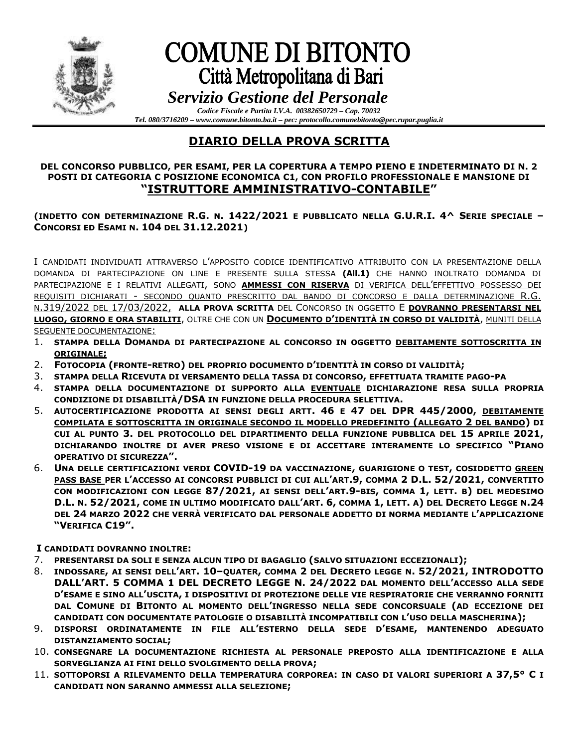

# **COMUNE DI BITONTO** Città Metropolitana di Bari

 *Servizio Gestione del Personale Codice Fiscale e Partita I.V.A. 00382650729 – Cap. 70032*

*Tel. 080/3716209 – www.comune.bitonto.ba.it – pec: protocollo.comunebitonto@pec.rupar.puglia.it*

## **DIARIO DELLA PROVA SCRITTA**

### **DEL CONCORSO PUBBLICO, PER ESAMI, PER LA COPERTURA A TEMPO PIENO E INDETERMINATO DI N. 2 POSTI DI CATEGORIA C POSIZIONE ECONOMICA C1, CON PROFILO PROFESSIONALE E MANSIONE DI "ISTRUTTORE AMMINISTRATIVO-CONTABILE"**

### **(INDETTO CON DETERMINAZIONE R.G. N. 1422/2021 E PUBBLICATO NELLA G.U.R.I. 4^ SERIE SPECIALE – CONCORSI ED ESAMI N. 104 DEL 31.12.2021)**

I CANDIDATI INDIVIDUATI ATTRAVERSO L'APPOSITO CODICE IDENTIFICATIVO ATTRIBUITO CON LA PRESENTAZIONE DELLA DOMANDA DI PARTECIPAZIONE ON LINE E PRESENTE SULLA STESSA **(All.1)** CHE HANNO INOLTRATO DOMANDA DI PARTECIPAZIONE E I RELATIVI ALLEGATI, SONO **AMMESSI CON RISERVA** DI VERIFICA DELL'EFFETTIVO POSSESSO DEI REQUISITI DICHIARATI - SECONDO QUANTO PRESCRITTO DAL BANDO DI CONCORSO E DALLA DETERMINAZIONE R.G. N.319/2022 DEL 17/03/2022, **ALLA PROVA SCRITTA** DEL CONCORSO IN OGGETTO E **DOVRANNO PRESENTARSI NEL LUOGO, GIORNO E ORA STABILITI**, OLTRE CHE CON UN **DOCUMENTO D'IDENTITÀ IN CORSO DI VALIDITÀ**, MUNITI DELLA SEGUENTE DOCUMENTAZIONE:

- 1. **STAMPA DELLA DOMANDA DI PARTECIPAZIONE AL CONCORSO IN OGGETTO DEBITAMENTE SOTTOSCRITTA IN ORIGINALE;**
- 2. **FOTOCOPIA (FRONTE-RETRO) DEL PROPRIO DOCUMENTO D'IDENTITÀ IN CORSO DI VALIDITÀ;**
- 3. **STAMPA DELLA RICEVUTA DI VERSAMENTO DELLA TASSA DI CONCORSO, EFFETTUATA TRAMITE PAGO-PA**
- 4. **STAMPA DELLA DOCUMENTAZIONE DI SUPPORTO ALLA EVENTUALE DICHIARAZIONE RESA SULLA PROPRIA CONDIZIONE DI DISABILITÀ/DSA IN FUNZIONE DELLA PROCEDURA SELETTIVA.**
- 5. **AUTOCERTIFICAZIONE PRODOTTA AI SENSI DEGLI ARTT. 46 E 47 DEL DPR 445/2000, DEBITAMENTE COMPILATA E SOTTOSCRITTA IN ORIGINALE SECONDO IL MODELLO PREDEFINITO (ALLEGATO 2 DEL BANDO) DI CUI AL PUNTO 3. DEL PROTOCOLLO DEL DIPARTIMENTO DELLA FUNZIONE PUBBLICA DEL 15 APRILE 2021, DICHIARANDO INOLTRE DI AVER PRESO VISIONE E DI ACCETTARE INTERAMENTE LO SPECIFICO "PIANO OPERATIVO DI SICUREZZA".**
- 6. **UNA DELLE CERTIFICAZIONI VERDI COVID-19 DA VACCINAZIONE, GUARIGIONE O TEST, COSIDDETTO GREEN PASS BASE PER L'ACCESSO AI CONCORSI PUBBLICI DI CUI ALL'ART.9, COMMA 2 D.L. 52/2021, CONVERTITO CON MODIFICAZIONI CON LEGGE 87/2021, AI SENSI DELL'ART.9-BIS, COMMA 1, LETT. B) DEL MEDESIMO**  D.L. N. 52/2021, COME IN ULTIMO MODIFICATO DALL'ART. 6, COMMA 1, LETT. A) DEL DECRETO LEGGE N.24 **DEL 24 MARZO 2022 CHE VERRÀ VERIFICATO DAL PERSONALE ADDETTO DI NORMA MEDIANTE L'APPLICAZIONE "VERIFICA C19".**

**I CANDIDATI DOVRANNO INOLTRE:**

- 7. **PRESENTARSI DA SOLI E SENZA ALCUN TIPO DI BAGAGLIO (SALVO SITUAZIONI ECCEZIONALI);**
- 8. INDOSSARE, AI SENSI DELL'ART. 10-QUATER, COMMA 2 DEL DECRETO LEGGE N. 52/2021, INTRODOTTO **DALL'ART. 5 COMMA 1 DEL DECRETO LEGGE N. 24/2022 DAL MOMENTO DELL'ACCESSO ALLA SEDE D'ESAME E SINO ALL'USCITA, I DISPOSITIVI DI PROTEZIONE DELLE VIE RESPIRATORIE CHE VERRANNO FORNITI DAL COMUNE DI BITONTO AL MOMENTO DELL'INGRESSO NELLA SEDE CONCORSUALE (AD ECCEZIONE DEI CANDIDATI CON DOCUMENTATE PATOLOGIE O DISABILITÀ INCOMPATIBILI CON L'USO DELLA MASCHERINA);**
- 9. **DISPORSI ORDINATAMENTE IN FILE ALL'ESTERNO DELLA SEDE D'ESAME, MANTENENDO ADEGUATO DISTANZIAMENTO SOCIAL;**
- 10. **CONSEGNARE LA DOCUMENTAZIONE RICHIESTA AL PERSONALE PREPOSTO ALLA IDENTIFICAZIONE E ALLA SORVEGLIANZA AI FINI DELLO SVOLGIMENTO DELLA PROVA;**
- 11. **SOTTOPORSI A RILEVAMENTO DELLA TEMPERATURA CORPOREA: IN CASO DI VALORI SUPERIORI A 37,5° C I CANDIDATI NON SARANNO AMMESSI ALLA SELEZIONE;**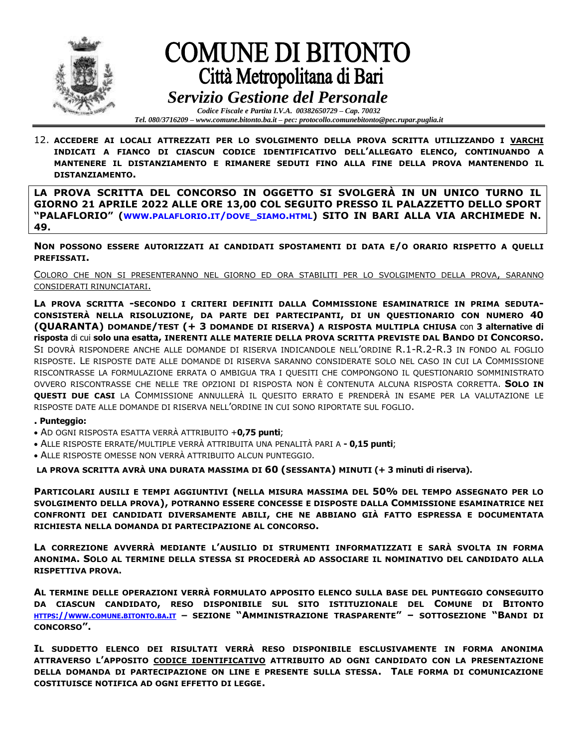

# **COMUNE DI BITONTO** Città Metropolitana di Bari

 *Servizio Gestione del Personale Codice Fiscale e Partita I.V.A. 00382650729 – Cap. 70032*

*Tel. 080/3716209 – www.comune.bitonto.ba.it – pec: protocollo.comunebitonto@pec.rupar.puglia.it*

12. **ACCEDERE AI LOCALI ATTREZZATI PER LO SVOLGIMENTO DELLA PROVA SCRITTA UTILIZZANDO I VARCHI INDICATI A FIANCO DI CIASCUN CODICE IDENTIFICATIVO DELL'ALLEGATO ELENCO, CONTINUANDO A MANTENERE IL DISTANZIAMENTO E RIMANERE SEDUTI FINO ALLA FINE DELLA PROVA MANTENENDO IL DISTANZIAMENTO.**

**LA PROVA SCRITTA DEL CONCORSO IN OGGETTO SI SVOLGERÀ IN UN UNICO TURNO IL GIORNO 21 APRILE 2022 ALLE ORE 13,00 COL SEGUITO PRESSO IL PALAZZETTO DELLO SPORT "PALAFLORIO" (WWW.[PALAFLORIO](http://www.palaflorio.it/dove_siamo.html).IT/DOVE\_SIAMO.HTML) SITO IN BARI ALLA VIA ARCHIMEDE N. 49.**

**NON POSSONO ESSERE AUTORIZZATI AI CANDIDATI SPOSTAMENTI DI DATA E/O ORARIO RISPETTO A QUELLI PREFISSATI.**

COLORO CHE NON SI PRESENTERANNO NEL GIORNO ED ORA STABILITI PER LO SVOLGIMENTO DELLA PROVA, SARANNO CONSIDERATI RINUNCIATARI.

**LA PROVA SCRITTA -SECONDO I CRITERI DEFINITI DALLA COMMISSIONE ESAMINATRICE IN PRIMA SEDUTA-CONSISTERÀ NELLA RISOLUZIONE, DA PARTE DEI PARTECIPANTI, DI UN QUESTIONARIO CON NUMERO 40 (QUARANTA) DOMANDE/TEST (+ 3 DOMANDE DI RISERVA) A RISPOSTA MULTIPLA CHIUSA** con **3 alternative di risposta** di cui **solo una esatta, INERENTI ALLE MATERIE DELLA PROVA SCRITTA PREVISTE DAL BANDO DI CONCORSO.** SI DOVRÀ RISPONDERE ANCHE ALLE DOMANDE DI RISERVA INDICANDOLE NELL'ORDINE R.1-R.2-R.3 IN FONDO AL FOGLIO RISPOSTE. LE RISPOSTE DATE ALLE DOMANDE DI RISERVA SARANNO CONSIDERATE SOLO NEL CASO IN CUI LA COMMISSIONE RISCONTRASSE LA FORMULAZIONE ERRATA O AMBIGUA TRA I QUESITI CHE COMPONGONO IL QUESTIONARIO SOMMINISTRATO OVVERO RISCONTRASSE CHE NELLE TRE OPZIONI DI RISPOSTA NON È CONTENUTA ALCUNA RISPOSTA CORRETTA. **SOLO IN QUESTI DUE CASI** LA COMMISSIONE ANNULLERÀ IL QUESITO ERRATO E PRENDERÀ IN ESAME PER LA VALUTAZIONE LE RISPOSTE DATE ALLE DOMANDE DI RISERVA NELL'ORDINE IN CUI SONO RIPORTATE SUL FOGLIO.

#### **. Punteggio:**

- AD OGNI RISPOSTA ESATTA VERRÀ ATTRIBUITO +**0,75 punti**;
- ALLE RISPOSTE ERRATE/MULTIPLE VERRÀ ATTRIBUITA UNA PENALITÀ PARI A **- 0,15 punti**;
- ALLE RISPOSTE OMESSE NON VERRÀ ATTRIBUITO ALCUN PUNTEGGIO.

**LA PROVA SCRITTA AVRÀ UNA DURATA MASSIMA DI 60 (SESSANTA) MINUTI (+ 3 minuti di riserva).**

**PARTICOLARI AUSILI E TEMPI AGGIUNTIVI (NELLA MISURA MASSIMA DEL 50% DEL TEMPO ASSEGNATO PER LO SVOLGIMENTO DELLA PROVA), POTRANNO ESSERE CONCESSE E DISPOSTE DALLA COMMISSIONE ESAMINATRICE NEI CONFRONTI DEI CANDIDATI DIVERSAMENTE ABILI, CHE NE ABBIANO GIÀ FATTO ESPRESSA E DOCUMENTATA RICHIESTA NELLA DOMANDA DI PARTECIPAZIONE AL CONCORSO.**

**LA CORREZIONE AVVERRÀ MEDIANTE L'AUSILIO DI STRUMENTI INFORMATIZZATI E SARÀ SVOLTA IN FORMA ANONIMA. SOLO AL TERMINE DELLA STESSA SI PROCEDERÀ AD ASSOCIARE IL NOMINATIVO DEL CANDIDATO ALLA RISPETTIVA PROVA.** 

**AL TERMINE DELLE OPERAZIONI VERRÀ FORMULATO APPOSITO ELENCO SULLA BASE DEL PUNTEGGIO CONSEGUITO DA CIASCUN CANDIDATO, RESO DISPONIBILE SUL SITO ISTITUZIONALE DEL COMUNE DI BITONTO** HTTPS://WWW.COMUNE.[BITONTO](https://www.comune.bitonto.ba.it/).BA.IT - SEZIONE "AMMINISTRAZIONE TRASPARENTE" - SOTTOSEZIONE "BANDI DI **CONCORSO".**

**IL SUDDETTO ELENCO DEI RISULTATI VERRÀ RESO DISPONIBILE ESCLUSIVAMENTE IN FORMA ANONIMA ATTRAVERSO L'APPOSITO CODICE IDENTIFICATIVO ATTRIBUITO AD OGNI CANDIDATO CON LA PRESENTAZIONE DELLA DOMANDA DI PARTECIPAZIONE ON LINE E PRESENTE SULLA STESSA. TALE FORMA DI COMUNICAZIONE COSTITUISCE NOTIFICA AD OGNI EFFETTO DI LEGGE.**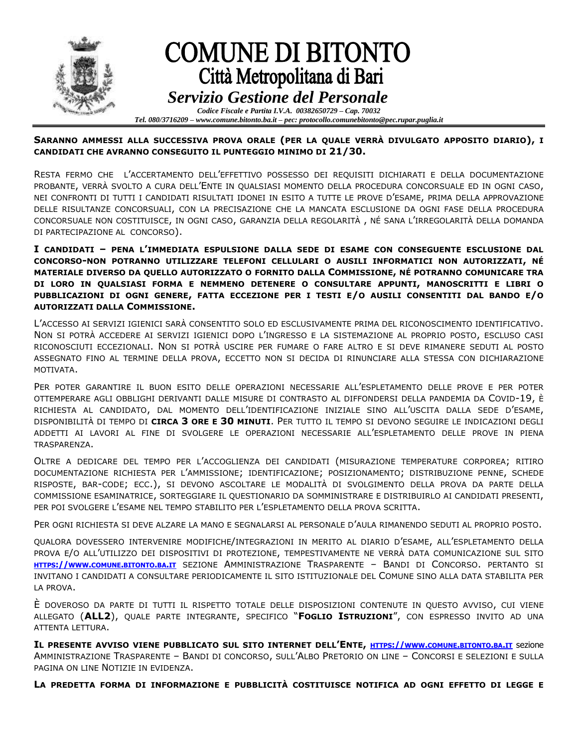

#### **SARANNO AMMESSI ALLA SUCCESSIVA PROVA ORALE (PER LA QUALE VERRÀ DIVULGATO APPOSITO DIARIO), I CANDIDATI CHE AVRANNO CONSEGUITO IL PUNTEGGIO MINIMO DI 21/30.**

RESTA FERMO CHE L'ACCERTAMENTO DELL'EFFETTIVO POSSESSO DEI REQUISITI DICHIARATI E DELLA DOCUMENTAZIONE PROBANTE, VERRÀ SVOLTO A CURA DELL'ENTE IN QUALSIASI MOMENTO DELLA PROCEDURA CONCORSUALE ED IN OGNI CASO, NEI CONFRONTI DI TUTTI I CANDIDATI RISULTATI IDONEI IN ESITO A TUTTE LE PROVE D'ESAME, PRIMA DELLA APPROVAZIONE DELLE RISULTANZE CONCORSUALI, CON LA PRECISAZIONE CHE LA MANCATA ESCLUSIONE DA OGNI FASE DELLA PROCEDURA CONCORSUALE NON COSTITUISCE, IN OGNI CASO, GARANZIA DELLA REGOLARITÀ , NÉ SANA L'IRREGOLARITÀ DELLA DOMANDA DI PARTECIPAZIONE AL CONCORSO).

**I CANDIDATI – PENA L'IMMEDIATA ESPULSIONE DALLA SEDE DI ESAME CON CONSEGUENTE ESCLUSIONE DAL CONCORSO-NON POTRANNO UTILIZZARE TELEFONI CELLULARI O AUSILI INFORMATICI NON AUTORIZZATI, NÉ MATERIALE DIVERSO DA QUELLO AUTORIZZATO O FORNITO DALLA COMMISSIONE, NÉ POTRANNO COMUNICARE TRA DI LORO IN QUALSIASI FORMA E NEMMENO DETENERE O CONSULTARE APPUNTI, MANOSCRITTI E LIBRI O PUBBLICAZIONI DI OGNI GENERE, FATTA ECCEZIONE PER I TESTI E/O AUSILI CONSENTITI DAL BANDO E/O AUTORIZZATI DALLA COMMISSIONE.**

L'ACCESSO AI SERVIZI IGIENICI SARÀ CONSENTITO SOLO ED ESCLUSIVAMENTE PRIMA DEL RICONOSCIMENTO IDENTIFICATIVO. NON SI POTRÀ ACCEDERE AI SERVIZI IGIENICI DOPO L'INGRESSO E LA SISTEMAZIONE AL PROPRIO POSTO, ESCLUSO CASI RICONOSCIUTI ECCEZIONALI. NON SI POTRÀ USCIRE PER FUMARE O FARE ALTRO E SI DEVE RIMANERE SEDUTI AL POSTO ASSEGNATO FINO AL TERMINE DELLA PROVA, ECCETTO NON SI DECIDA DI RINUNCIARE ALLA STESSA CON DICHIARAZIONE MOTIVATA.

PER POTER GARANTIRE IL BUON ESITO DELLE OPERAZIONI NECESSARIE ALL'ESPLETAMENTO DELLE PROVE E PER POTER OTTEMPERARE AGLI OBBLIGHI DERIVANTI DALLE MISURE DI CONTRASTO AL DIFFONDERSI DELLA PANDEMIA DA COVID-19, È RICHIESTA AL CANDIDATO, DAL MOMENTO DELL'IDENTIFICAZIONE INIZIALE SINO ALL'USCITA DALLA SEDE D'ESAME, DISPONIBILITÀ DI TEMPO DI **CIRCA 3 ORE E 30 MINUTI**. PER TUTTO IL TEMPO SI DEVONO SEGUIRE LE INDICAZIONI DEGLI ADDETTI AI LAVORI AL FINE DI SVOLGERE LE OPERAZIONI NECESSARIE ALL'ESPLETAMENTO DELLE PROVE IN PIENA TRASPARENZA.

OLTRE A DEDICARE DEL TEMPO PER L'ACCOGLIENZA DEI CANDIDATI (MISURAZIONE TEMPERATURE CORPOREA; RITIRO DOCUMENTAZIONE RICHIESTA PER L'AMMISSIONE; IDENTIFICAZIONE; POSIZIONAMENTO; DISTRIBUZIONE PENNE, SCHEDE RISPOSTE, BAR-CODE; ECC.), SI DEVONO ASCOLTARE LE MODALITÀ DI SVOLGIMENTO DELLA PROVA DA PARTE DELLA COMMISSIONE ESAMINATRICE, SORTEGGIARE IL QUESTIONARIO DA SOMMINISTRARE E DISTRIBUIRLO AI CANDIDATI PRESENTI, PER POI SVOLGERE L'ESAME NEL TEMPO STABILITO PER L'ESPLETAMENTO DELLA PROVA SCRITTA.

PER OGNI RICHIESTA SI DEVE ALZARE LA MANO E SEGNALARSI AL PERSONALE D'AULA RIMANENDO SEDUTI AL PROPRIO POSTO.

QUALORA DOVESSERO INTERVENIRE MODIFICHE/INTEGRAZIONI IN MERITO AL DIARIO D'ESAME, ALL'ESPLETAMENTO DELLA PROVA E/O ALL'UTILIZZO DEI DISPOSITIVI DI PROTEZIONE, TEMPESTIVAMENTE NE VERRÀ DATA COMUNICAZIONE SUL SITO **HTTPS://WWW.COMUNE.[BITONTO](https://www.comune.bitonto.ba.it/).BA.IT** SEZIONE AMMINISTRAZIONE TRASPARENTE – BANDI DI CONCORSO. PERTANTO SI INVITANO I CANDIDATI A CONSULTARE PERIODICAMENTE IL SITO ISTITUZIONALE DEL COMUNE SINO ALLA DATA STABILITA PER LA PROVA.

È DOVEROSO DA PARTE DI TUTTI IL RISPETTO TOTALE DELLE DISPOSIZIONI CONTENUTE IN QUESTO AVVISO, CUI VIENE ALLEGATO (**ALL2**), QUALE PARTE INTEGRANTE, SPECIFICO "**FOGLIO ISTRUZIONI**", CON ESPRESSO INVITO AD UNA ATTENTA LETTURA.

IL PRESENTE AVVISO VIENE PUBBLICATO SUL SITO INTERNET DELL'ENTE, HTTPS://WWW.COMUNE.[BITONTO](https://www.comune.bitonto.ba.it/).BA.IT Sezione AMMINISTRAZIONE TRASPARENTE – BANDI DI CONCORSO, SULL'ALBO PRETORIO ON LINE – CONCORSI E SELEZIONI E SULLA PAGINA ON LINE NOTIZIE IN EVIDENZA.

**LA PREDETTA FORMA DI INFORMAZIONE E PUBBLICITÀ COSTITUISCE NOTIFICA AD OGNI EFFETTO DI LEGGE E**